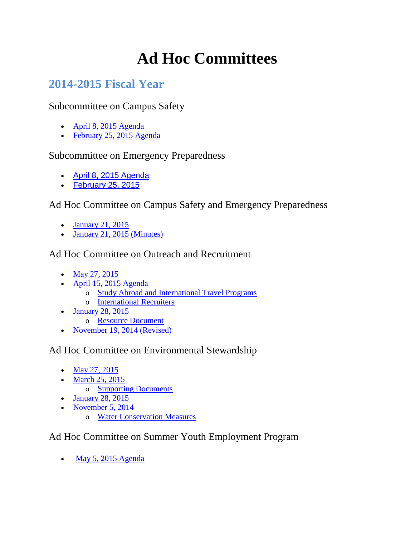# **Ad Hoc Committees**

# **2014-2015 Fiscal Year**

Subcommittee on Campus Safety

- [April 8, 2015](http://www.laccd.edu/Board/StandingCommittees/Documents/2014-2015StandingCommitteeAgendas/20150408-Emergency-Preparedness-Subcommittee-Agenda.pdf) Agenda
- [February 25, 2015 Agenda](http://www.laccd.edu/Board/StandingCommittees/Documents/2014-2015StandingCommitteeAgendas/20150225-Campus-Safety-Subcommittee-Agenda.pdf)

### Subcommittee on Emergency Preparedness

- [April 8, 2015](http://www.laccd.edu/Board/StandingCommittees/Documents/2014-2015StandingCommitteeAgendas/20150408-Emergency-Preparedness-Subcommittee-Agenda.pdf) Agenda
- [February 25, 2015](http://www.laccd.edu/Board/StandingCommittees/Documents/2014-2015StandingCommitteeAgendas/20150225-Emergency-Preparedness-Subcommittee-Agenda.pdf)

### Ad Hoc Committee on Campus Safety and Emergency Preparedness

- [January 21, 2015](http://www.laccd.edu/Board/StandingCommittees/Documents/2014-2015StandingCommitteeAgendas/20150121-Ad-Hoc-Campus-Safety-Emergency-Preparedness-Agenda.pdf)
- [January 21, 2015 \(Minutes\)](http://www.laccd.edu/Board/StandingCommittees/Documents/2014-2015StandingCommitteeMinutes/20150121-AdHocCSEP-Minutes.pdf)

## Ad Hoc Committee on Outreach and Recruitment

- [May 27, 2015](http://www.laccd.edu/Board/StandingCommittees/Documents/2014-2015StandingCommitteeAgendas/20150527-Ad-Hoc-Committee-Outreach-Recruitment-Agenda.pdf)
- [April 15, 2015](http://www.laccd.edu/Board/StandingCommittees/Documents/2014-2015StandingCommitteeAgendas/20150415-Ad-Hoc-Committee-Outreach-Recruitment-Agenda.pdf) Agenda
	- o [Study Abroad and International Travel Programs](http://www.laccd.edu/Board/StandingCommittees/Documents/2014-2015StandingCommitteeAgendas/20150415-Study-Abroad-International-Travel-Programs.pdf)
	- o [International Recruiters](http://www.laccd.edu/Board/StandingCommittees/Documents/2014-2015StandingCommitteeAgendas/20150415-International-Recruiters.pdf)
- [January 28, 2015](http://www.laccd.edu/Board/StandingCommittees/Documents/2014-2015StandingCommitteeAgendas/20150128-Ad-Hoc-Outreach-and-Recruitment-Agenda.pdf)
	- o [Resource Document](http://www.laccd.edu/Board/StandingCommittees/Documents/2014-2015StandingCommitteeAgendas/Ad%20Hoc%20Committee%20on%20Outreach%20and%20Recruitment%20%20Resource%20Document%201-28-15.pdf)
- [November 19, 2014 \(Revised\)](http://www.laccd.edu/Board/StandingCommittees/Documents/2014-2015StandingCommitteeAgendas/20141119-Ad-Hoc-Committee-Outreach-and-Recruitment-Agenda-Revised.pdf)

### Ad Hoc Committee on Environmental Stewardship

- [May 27, 2015](http://www.laccd.edu/Board/StandingCommittees/Documents/2014-2015StandingCommitteeAgendas/20150527-Ad-Hoc-Committee-Environmental-Stewardship-Agenda.pdf)
- [March 25, 2015](http://www.laccd.edu/Board/StandingCommittees/Documents/2014-2015StandingCommitteeAgendas/20150325-Ad-Hoc-Environmental-Stewardship-Agenda.pdf)
	- o [Supporting Documents](http://www.laccd.edu/Board/StandingCommittees/Documents/2014-2015StandingCommitteeAgendas/20150325-Ad-Hoc-Environmental-Stewardship-Supporting-Documents.pdf)
- [January 28, 2015](http://www.laccd.edu/Board/StandingCommittees/Documents/2014-2015StandingCommitteeAgendas/20150128-Ad-Hoc-Committee-Outreach-Recruitment-Agenda.pdf)
- [November 5, 2014](http://www.laccd.edu/Board/StandingCommittees/Documents/2014-2015StandingCommitteeAgendas/20141105-Ad-Hoc-Environmental-Stewardship-Agenda.pdf)
	- o [Water Conservation Measures](http://www.laccd.edu/Board/StandingCommittees/Documents/2014-2015StandingCommitteeAgendas/Water%20Conservation%20October%2028th%202014.pdf)

## Ad Hoc Committee on Summer Youth Employment Program

• [May 5, 2015 Agenda](http://www.laccd.edu/Board/StandingCommittees/Documents/2014-2015StandingCommitteeAgendas/20150505-Ad-Hoc-Committee-Summer-Youth-Employment-Agenda.pdf)